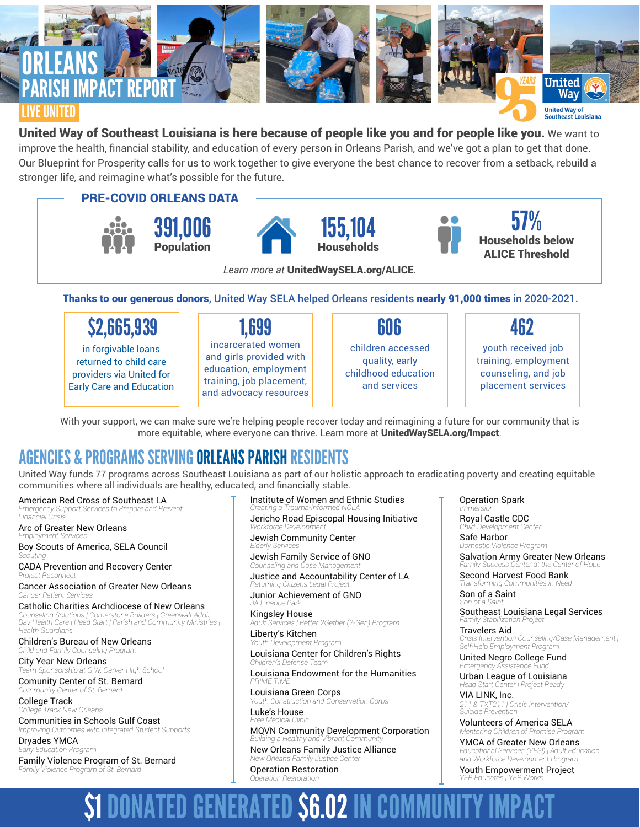

## United Way of Southeast Louisiana is here because of people like you and for people like you. We want to

improve the health, financial stability, and education of every person in Orleans Parish, and we've got a plan to get that done. Our Blueprint for Prosperity calls for us to work together to give everyone the best chance to recover from a setback, rebuild a stronger life, and reimagine what's possible for the future.

PRE-COVID ORLEANS DATA







57% Households below ALICE Threshold

*Learn more at* UnitedWaySELA.org/ALICE*.*

Thanks to our generous donors, United Way SELA helped Orleans residents nearly 91,000 times in 2020-2021.

 $$2,665,939$  | 1,699 | 606 | 462

in forgivable loans returned to child care providers via United for Early Care and Education

## 1,699

incarcerated women and girls provided with education, employment training, job placement, and advocacy resources

## 606

children accessed quality, early childhood education and services

youth received job training, employment counseling, and job placement services

With your support, we can make sure we're helping people recover today and reimagining a future for our community that is more equitable, where everyone can thrive. Learn more at UnitedWaySELA.org/Impact.

## AGENCIES & PROGRAMS SERVING ORLEANS PARISH RESIDENTS

United Way funds 77 programs across Southeast Louisiana as part of our holistic approach to eradicating poverty and creating equitable communities where all individuals are healthy, educated, and financially stable.

American Red Cross of Southeast LA *Emergency Support Services to Prepare and Prevent*

*Financial Crisis* Arc of Greater New Orleans *Employment Services*

Boy Scouts of America, SELA Council *Scouting* CADA Prevention and Recovery Center

**Project Reconnec** 

Cancer Association of Greater New Orleans *Cancer Patient Services*

Catholic Charities Archdiocese of New Orleans *Counseling Solutions | Cornerstone Builders | Greenwalt Adult Day Health Care | Head Start | Parish and Community Ministries | Health Guardians*

Children's Bureau of New Orleans *Child and Family Counseling Program*

City Year New Orleans *Team Sponsorship at G.W. Carver High School*

Comunity Center of St. Bernard *Community Center of St. Bernard*

College Track *College Track New Orleans*

Communities in Schools Gulf Coast *Improving Outcomes with Integrated Student Supports*

Dryades YMCA *Early Education Program* Family Violence Program of St. Bernard *Family Violence Program of St. Bernard*

Institute of Women and Ethnic Studies *Creating a Trauma-Informed* 

Jericho Road Episcopal Housing Initiative *Workforce Development*

Jewish Community Center *Elderly Services*

Jewish Family Service of GNO *Counseling and Case Management*

Justice and Accountability Center of LA *Returning Citizens Legal Project*

Junior Achievement of GNO *JA Finance Park*

Kingsley House *Adult Services | Better 2Gether (2-Gen) Program* Liberty's Kitchen

*Youth Development Program*

Louisiana Center for Children's Rights *Children's Defense Team*

Louisiana Endowment for the Humanities *PRIME TIME*

Louisiana Green Corps *Youth Construction and Conservation Corps* Luke's House

*Free Medical Clinic* MQVN Community Development Corporation

*Building a Healthy and Vibrant Community* New Orleans Family Justice Alliance *New Orleans Family Justice Center*

Operation Restoration *Operation Restoration*

Operation Spark *Immersion*

Royal Castle CDC *Child Development Center*

Safe Harbor *Domestic Violence Program* Salvation Army Greater New Orleans

*Family Success Center at the Center of Hope* Second Harvest Food Bank *Transforming Communities in Need*

Son of a Saint *Son of a Saint*

Southeast Louisiana Legal Services *Family Stabilization Project*

Travelers Aid *Crisis Intervention Counseling/Case Management | Self-Help Employment Program*

United Negro College Fund *Emergency Assistance Fund*

Urban League of Louisiana *Head Start Center | Project Ready*

VIA LINK, Inc. *211 & TXT211 | Crisis Intervention/ Suicide Prevention*

Volunteers of America SELA *Mentoring Children of Promise Program*

YMCA of Greater New Orleans *Educational Services (YES!) | Adult Education and Workforce Development Program* 

Youth Empowerment Project *YEP Educates | YEP Works*

# **GENERATED \$6.02 IN COM**